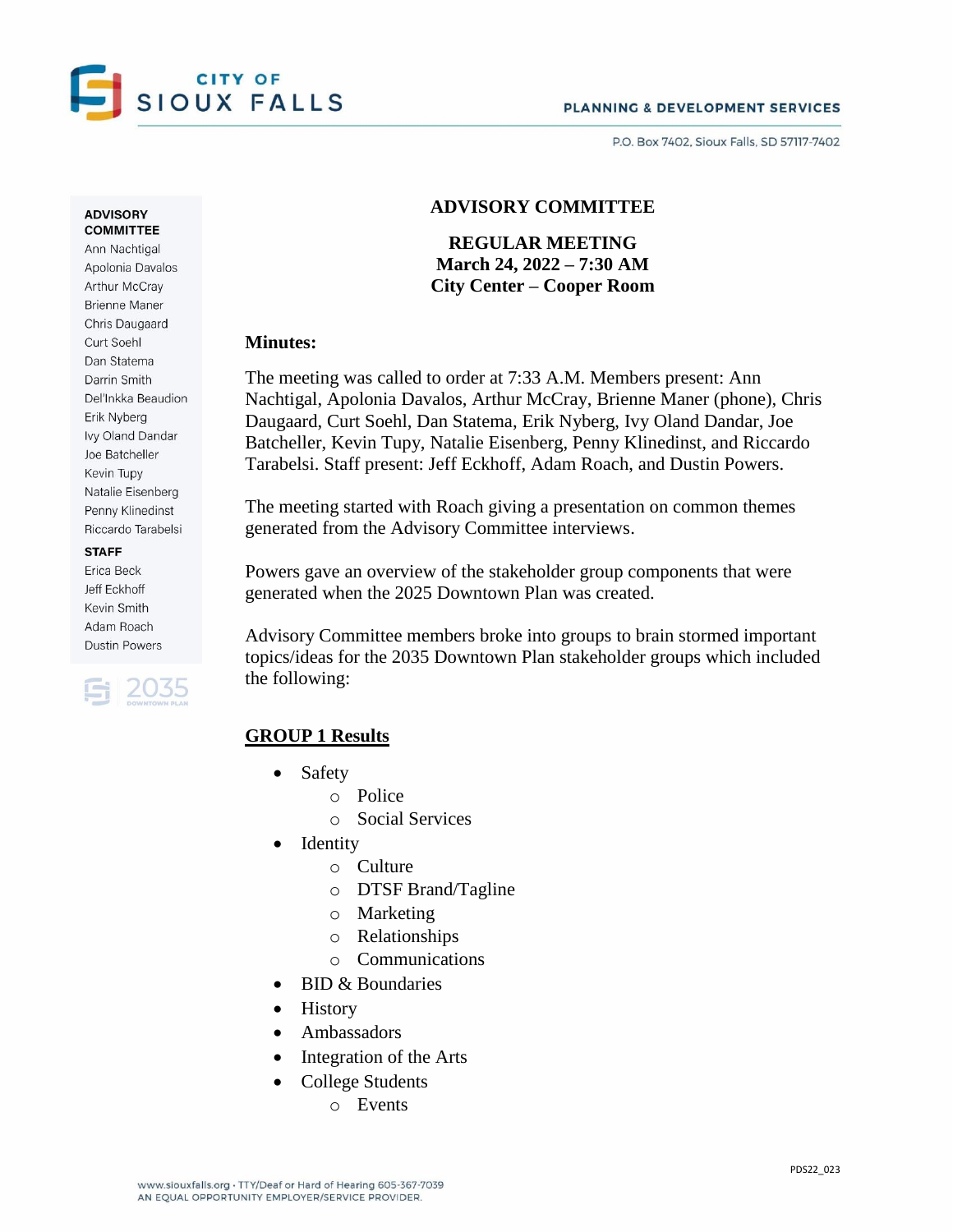

PO Box 7402 Sioux Falls SD 57117-7402

#### **ADVISORY COMMITTEE**

Ann Nachtigal Apolonia Davalos Arthur McCray **Brienne Maner** Chris Daugaard Curt Soehl Dan Statema Darrin Smith Del'Inkka Beaudion Erik Nyberg Ivy Oland Dandar Joe Batcheller Kevin Tupy Natalie Eisenberg Penny Klinedinst Riccardo Tarabelsi

#### **STAFF**

Erica Beck Jeff Eckhoff Kevin Smith Adam Roach **Dustin Powers** 



# **ADVISORY COMMITTEE**

**REGULAR MEETING March 24, 2022 – 7:30 AM City Center – Cooper Room**

### **Minutes:**

The meeting was called to order at 7:33 A.M. Members present: Ann Nachtigal, Apolonia Davalos, Arthur McCray, Brienne Maner (phone), Chris Daugaard, Curt Soehl, Dan Statema, Erik Nyberg, Ivy Oland Dandar, Joe Batcheller, Kevin Tupy, Natalie Eisenberg, Penny Klinedinst, and Riccardo Tarabelsi. Staff present: Jeff Eckhoff, Adam Roach, and Dustin Powers.

The meeting started with Roach giving a presentation on common themes generated from the Advisory Committee interviews.

Powers gave an overview of the stakeholder group components that were generated when the 2025 Downtown Plan was created.

Advisory Committee members broke into groups to brain stormed important topics/ideas for the 2035 Downtown Plan stakeholder groups which included the following:

# **GROUP 1 Results**

- Safety
	- o Police
	- o Social Services
- Identity
	- o Culture
	- o DTSF Brand/Tagline
	- o Marketing
	- o Relationships
	- o Communications
- BID & Boundaries
- History
- Ambassadors
- Integration of the Arts
- College Students
	- o Events